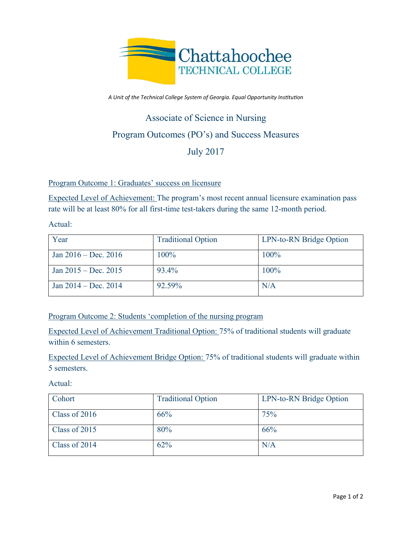

*A Unit of the Technical College System of Georgia. Equal Opportunity Institution*

## Associate of Science in Nursing Program Outcomes (PO's) and Success Measures July 2017

Program Outcome 1: Graduates' success on licensure

Expected Level of Achievement: The program's most recent annual licensure examination pass rate will be at least 80% for all first-time test-takers during the same 12-month period.

Actual:

| Year                   | <b>Traditional Option</b> | LPN-to-RN Bridge Option |
|------------------------|---------------------------|-------------------------|
| Jan $2016 - Dec. 2016$ | 100%                      | 100%                    |
| Jan $2015 - Dec. 2015$ | 93.4%                     | 100%                    |
| Jan $2014 - Dec. 2014$ | 92.59%                    | N/A                     |

Program Outcome 2: Students 'completion of the nursing program

Expected Level of Achievement Traditional Option: 75% of traditional students will graduate within 6 semesters.

Expected Level of Achievement Bridge Option: 75% of traditional students will graduate within 5 semesters.

Actual:

| Cohort        | <b>Traditional Option</b> | LPN-to-RN Bridge Option |
|---------------|---------------------------|-------------------------|
| Class of 2016 | 66%                       | 75%                     |
| Class of 2015 | 80%                       | 66%                     |
| Class of 2014 | 62%                       | N/A                     |